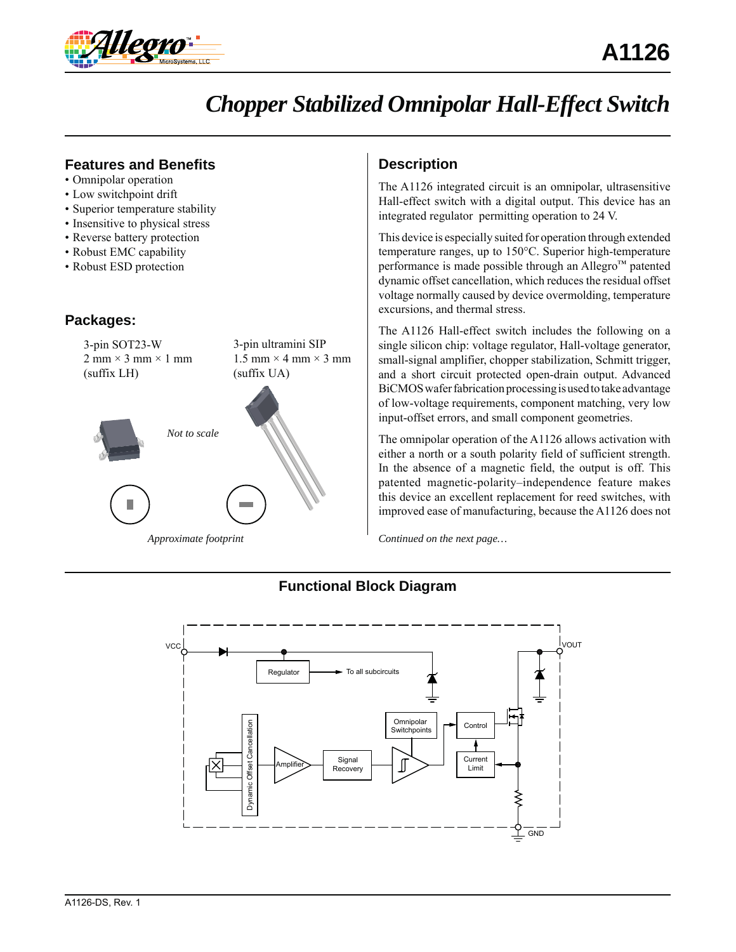

# *Chopper Stabilized Omnipolar Hall-Effect Switch*

## **Features and Benefits**

- Omnipolar operation
- Low switchpoint drift
- Superior temperature stability
- Insensitive to physical stress
- Reverse battery protection
- Robust EMC capability
- Robust ESD protection

## **Packages:**



# **Description**

The A1126 integrated circuit is an omnipolar, ultrasensitive Hall-effect switch with a digital output. This device has an integrated regulator permitting operation to 24 V.

This device is especially suited for operation through extended temperature ranges, up to 150°C. Superior high-temperature performance is made possible through an Allegro™ patented dynamic offset cancellation, which reduces the residual offset voltage normally caused by device overmolding, temperature excursions, and thermal stress.

The A1126 Hall-effect switch includes the following on a single silicon chip: voltage regulator, Hall-voltage generator, small-signal amplifier, chopper stabilization, Schmitt trigger, and a short circuit protected open-drain output. Advanced BiCMOS wafer fabrication processing is used to take advantage of low-voltage requirements, component matching, very low input-offset errors, and small component geometries.

The omnipolar operation of the A1126 allows activation with either a north or a south polarity field of sufficient strength. In the absence of a magnetic field, the output is off. This patented magnetic-polarity–independence feature makes this device an excellent replacement for reed switches, with improved ease of manufacturing, because the A1126 does not

*Continued on the next page…*

# **Functional Block Diagram**

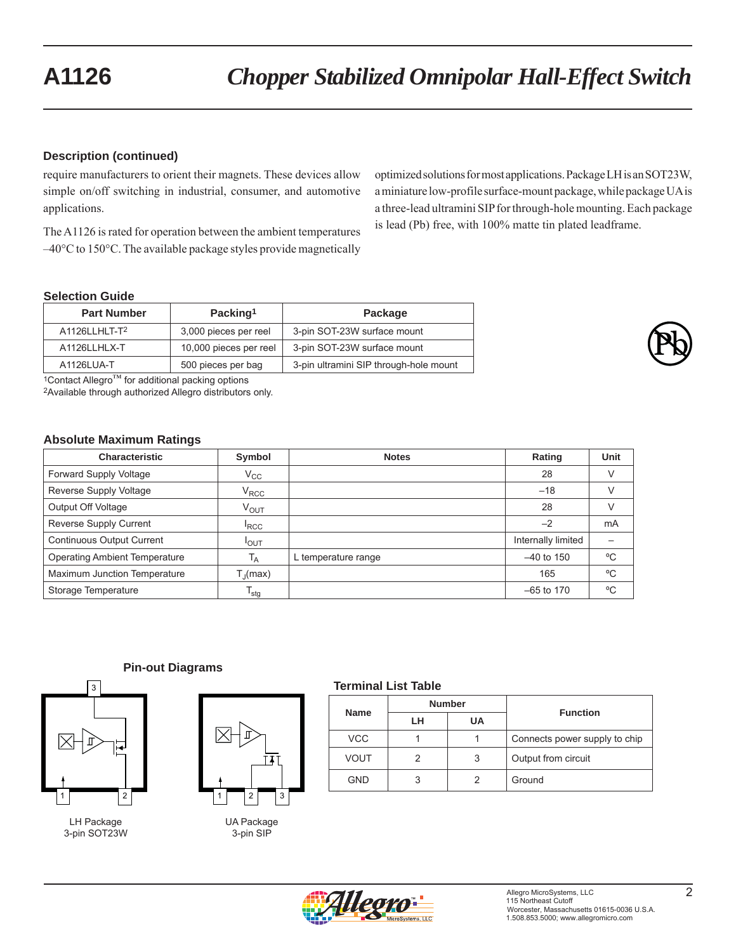## **Description (continued)**

require manufacturers to orient their magnets. These devices allow simple on/off switching in industrial, consumer, and automotive applications.

The A1126 is rated for operation between the ambient temperatures –40°C to 150°C. The available package styles provide magnetically optimized solutions for most applications. Package LH is an SOT23W, a miniature low-profile surface-mount package, while package UA is a three-lead ultramini SIP for through-hole mounting. Each package is lead (Pb) free, with 100% matte tin plated leadframe.

## **Selection Guide**

| <b>Part Number</b> | Packing <sup>1</sup>   | Package                                |
|--------------------|------------------------|----------------------------------------|
| A1126LLHLT-T2      | 3,000 pieces per reel  | 3-pin SOT-23W surface mount            |
| A1126LLHLX-T       | 10,000 pieces per reel | 3-pin SOT-23W surface mount            |
| A1126LUA-T         | 500 pieces per bag     | 3-pin ultramini SIP through-hole mount |



 $1$ Contact Allegro<sup>™</sup> for additional packing options

2Available through authorized Allegro distributors only.

#### **Absolute Maximum Ratings**

| <b>Characteristic</b>                | Symbol            | <b>Notes</b>        | Rating             | Unit |
|--------------------------------------|-------------------|---------------------|--------------------|------|
| <b>Forward Supply Voltage</b>        | $V_{\rm CC}$      |                     | 28                 | V    |
| Reverse Supply Voltage               | $V_{\text{RCC}}$  |                     | $-18$              | V    |
| Output Off Voltage                   | $V_{OUT}$         |                     | 28                 | V    |
| Reverse Supply Current               | <sup>I</sup> RCC  |                     | $-2$               | mA   |
| <b>Continuous Output Current</b>     | <b>POUT</b>       |                     | Internally limited |      |
| <b>Operating Ambient Temperature</b> | $T_A$             | L temperature range | $-40$ to 150       | °C   |
| Maximum Junction Temperature         | $T_{\rm d}$ (max) |                     | 165                | °C   |
| Storage Temperature                  | $T_{\text{stg}}$  |                     | $-65$ to 170       | °C   |

#### **Pin-out Diagrams**



LH Package 3-pin SOT23W



UA Package 3-pin SIP

#### **Terminal List Table**

| <b>Name</b> | <b>Number</b> |    | <b>Function</b>               |
|-------------|---------------|----|-------------------------------|
|             | LН            | UA |                               |
| <b>VCC</b>  |               |    | Connects power supply to chip |
| VOUT        |               | 3  | Output from circuit           |
| GND         | 3             |    | Ground                        |

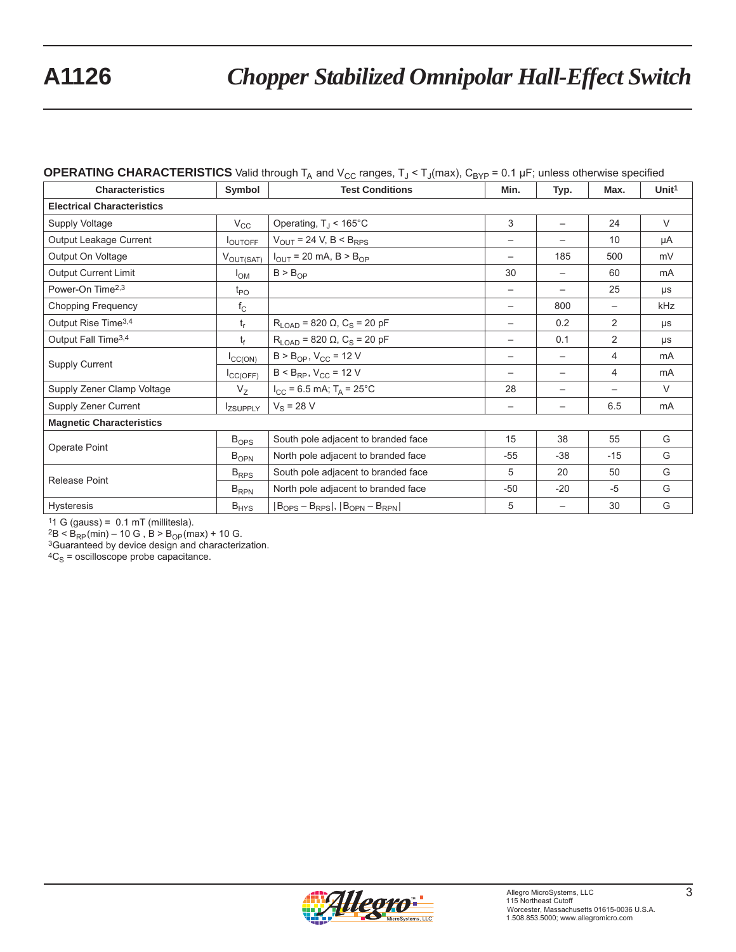## **OPERATING CHARACTERISTICS** Valid through  $T_A$  and  $V_{CC}$  ranges,  $T_J < T_J$ (max),  $C_{BYP}$  = 0.1 µF; unless otherwise specified

| <b>Characteristics</b>            | Symbol          | <b>Test Conditions</b>                                                         | Min.                     | Typ.                     | Max.                     | Unit <sup>1</sup> |  |
|-----------------------------------|-----------------|--------------------------------------------------------------------------------|--------------------------|--------------------------|--------------------------|-------------------|--|
| <b>Electrical Characteristics</b> |                 |                                                                                |                          |                          |                          |                   |  |
| Supply Voltage                    | $V_{\rm CC}$    | Operating, $T_J < 165^{\circ}$ C                                               | 3                        | $\overline{\phantom{0}}$ | 24                       | $\vee$            |  |
| Output Leakage Current            | <b>LOUTOFF</b>  | $V_{OUT}$ = 24 V, B < B <sub>RPS</sub>                                         |                          |                          | 10                       | μA                |  |
| Output On Voltage                 | $V_{OUT(SAT)}$  | $I_{OUT}$ = 20 mA, B > B <sub>OP</sub>                                         | $\overline{\phantom{0}}$ | 185                      | 500                      | mV                |  |
| <b>Output Current Limit</b>       | $I_{OM}$        | $B > B_{OP}$                                                                   | 30                       | $\overline{\phantom{0}}$ | 60                       | mA                |  |
| Power-On Time <sup>2,3</sup>      | $t_{PO}$        |                                                                                | $\overline{\phantom{m}}$ | $\overline{\phantom{m}}$ | 25                       | μs                |  |
| <b>Chopping Frequency</b>         | $f_{\rm C}$     |                                                                                |                          | 800                      | $\overline{\phantom{0}}$ | kHz               |  |
| Output Rise Time <sup>3,4</sup>   | $t_r$           | $R_{LOAD}$ = 820 $\Omega$ , C <sub>S</sub> = 20 pF                             |                          | 0.2                      | 2                        | $\mu s$           |  |
| Output Fall Time <sup>3,4</sup>   | t <sub>f</sub>  | $R_{LOAD}$ = 820 Ω, C <sub>S</sub> = 20 pF                                     |                          | 0.1                      | $\overline{2}$           | μs                |  |
| Supply Current                    | ICC(ON)         | $B > B_{OP}$ , $V_{CC} = 12 V$                                                 |                          |                          | $\overline{4}$           | mA                |  |
|                                   | ICC(OFF)        | $B < B_{RP}$ , $V_{CC} = 12 V$                                                 | $\qquad \qquad$          | $\overline{\phantom{0}}$ | 4                        | <b>mA</b>         |  |
| Supply Zener Clamp Voltage        | $V_{Z}$         | $I_{CC}$ = 6.5 mA; T <sub>A</sub> = 25°C                                       | 28                       | $\overline{\phantom{m}}$ | $\overline{\phantom{m}}$ | $\vee$            |  |
| Supply Zener Current              | <b>IZSUPPLY</b> | $V_S = 28 V$                                                                   | $\qquad \qquad -$        |                          | 6.5                      | mA                |  |
| <b>Magnetic Characteristics</b>   |                 |                                                                                |                          |                          |                          |                   |  |
| Operate Point                     | $B_{OPS}$       | South pole adjacent to branded face                                            | 15                       | 38                       | 55                       | G                 |  |
|                                   | $B_{OPN}$       | North pole adjacent to branded face                                            | $-55$                    | $-38$                    | $-15$                    | G                 |  |
| <b>Release Point</b>              | $B_{RPS}$       | South pole adjacent to branded face                                            | 5                        | 20                       | 50                       | G                 |  |
|                                   | $B_{RPN}$       | North pole adjacent to branded face                                            | $-50$                    | $-20$                    | $-5$                     | G                 |  |
| <b>Hysteresis</b>                 | $B_{HYS}$       | $ B_{\mathrm{OPS}} - B_{\mathrm{RPS}} ,  B_{\mathrm{OPN}} - B_{\mathrm{RPN}} $ | 5                        | $\overline{\phantom{m}}$ | 30                       | G                 |  |

11 G (gauss) =  $0.1 \text{ mT}$  (millitesla).<br>  ${}^{2}B < B_{RP}$ (min) – 10 G ,  $B > B_{OP}$ (max) + 10 G.

<sup>3</sup>Guaranteed by device design and characterization.

 ${}^{4}C_{S}$  = oscilloscope probe capacitance.

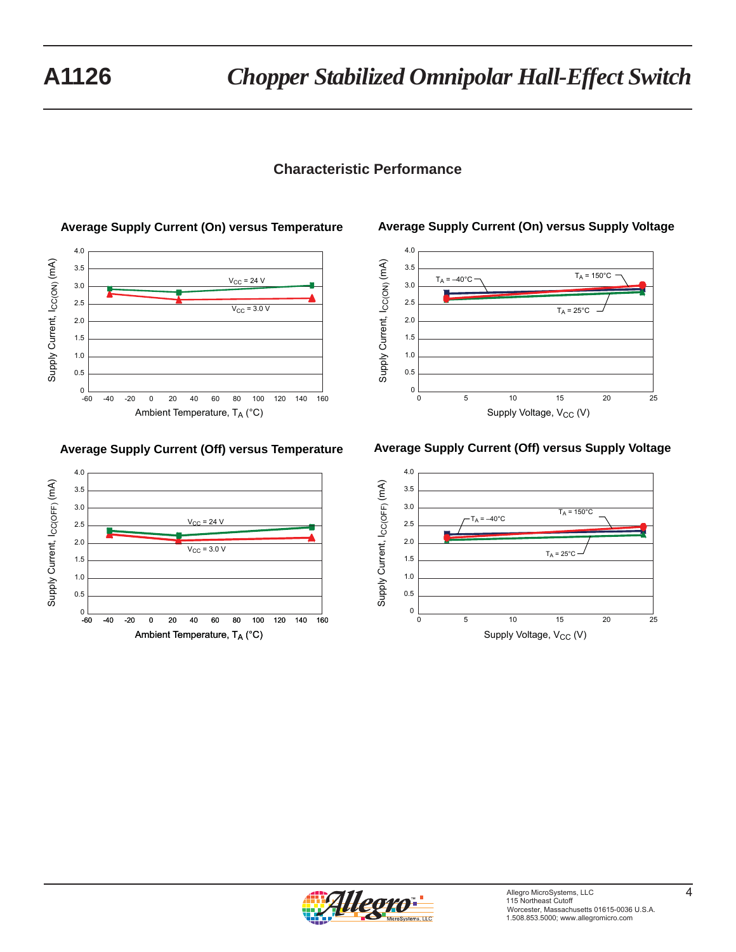# **Characteristic Performance**



## **Average Supply Current (Off) versus Temperature**



## **Average Supply Current (On) versus Supply Voltage**



#### **Average Supply Current (Off) versus Supply Voltage**



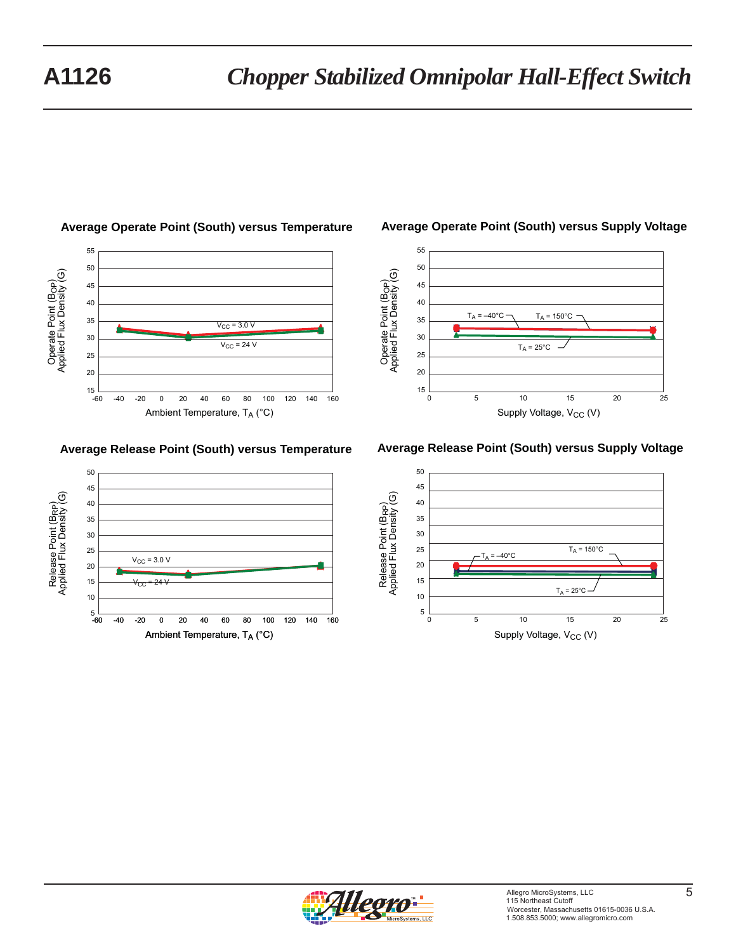

## **Average Operate Point (South) versus Temperature**

## **Average Release Point (South) versus Temperature**



## **Average Operate Point (South) versus Supply Voltage**



## **Average Release Point (South) versus Supply Voltage**



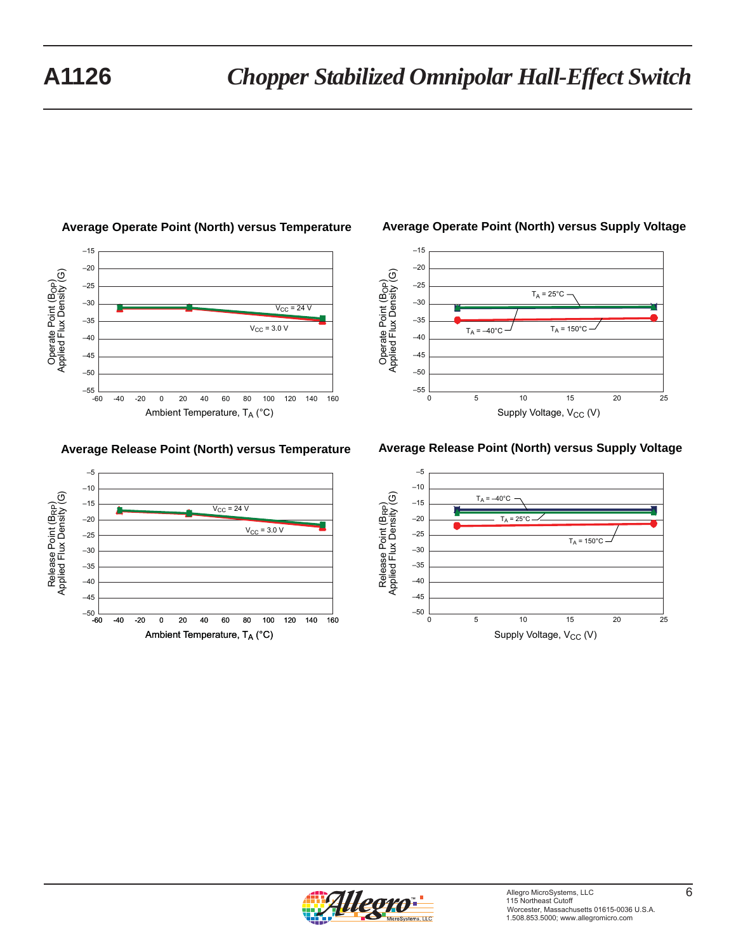

## **Average Operate Point (North) versus Temperature**

## **Average Release Point (North) versus Temperature**



## **Average Operate Point (North) versus Supply Voltage**



## **Average Release Point (North) versus Supply Voltage**



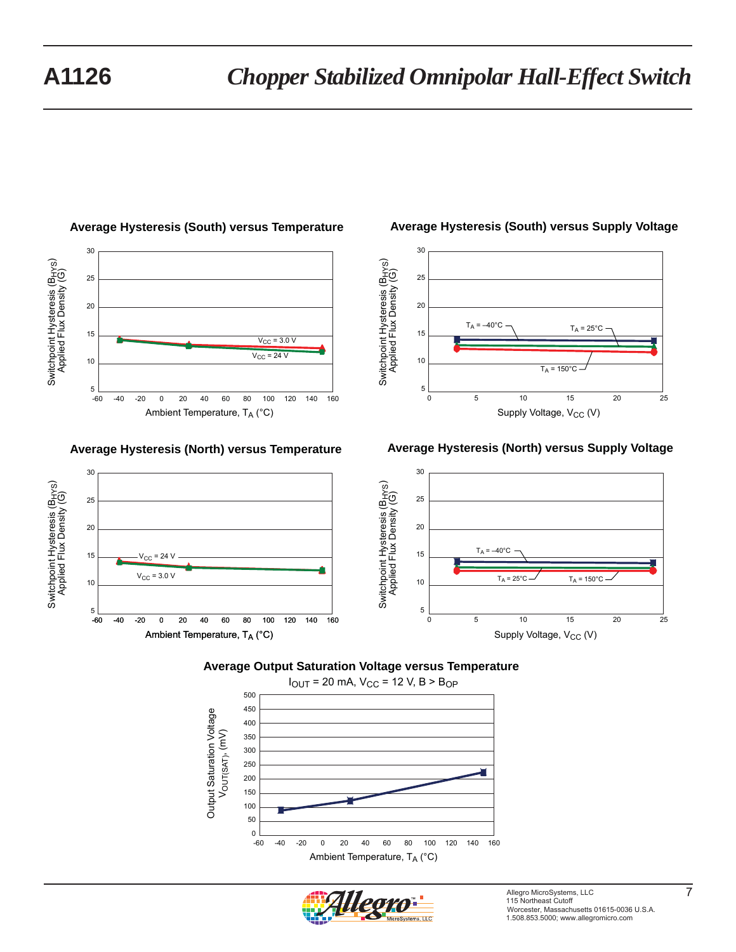Switchpoint Hysteresis (BHYS) Applied Flux Density (G)

Switchpoint Hysteresis (B<sub>HYS</sub>)<br>Applied Flux Density (G)

30

25

20

15

10

5



## **Average Hysteresis (South) versus Temperature**

## **Average Hysteresis (North) versus Temperature**

Ambient Temperature,  $T_A$  (°C)

 $V_{CC}$  = 3.0 V

 $V_{CC}$  = 24  $V$ 

## **Average Hysteresis (South) versus Supply Voltage**



## $\begin{array}{r|l}\n\hline\n\text{1} & \text{if } \begin{array}{c}\n\text{1} & \text{if } \begin{array}{c}\n\text{1} & \text{if } \begin{array}{c}\n\text{1} & \text{if } \begin{array}{c}\n\text{1} & \text{if } \begin{array}{c}\n\text{1} & \text{if } \begin{array}{c}\n\text{1} & \text{if } \begin{array}{c}\n\text{1} & \text{if } \begin{array}{c}\n\text{1} & \text{if } \begin{array}{c}\n\text{1} & \text{if } \begin{array}{c}\n\text{1} & \text{if } \begin{array}{$ Supply Voltage, V<sub>CC</sub> (V)  $T_A = 150^{\circ}C$  $T_A = -40$ °C 30 25 20 15 10 5 0 5 10 15 20 25  $T_A = 25$ °C -60 -40 -20 0 20 40 60 80 100 140 120 160

## **Average Hysteresis (North) versus Supply Voltage**

**Average Output Saturation Voltage versus Temperature**

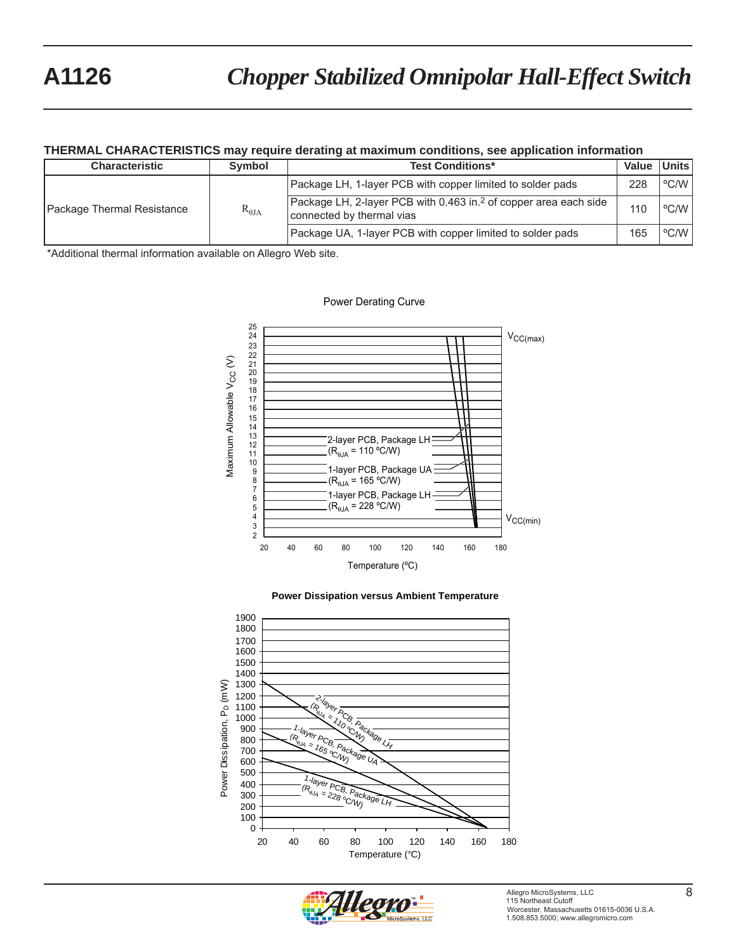#### **THERMAL CHARACTERISTICS may require derating at maximum conditions, see application information**

| <b>Characteristic</b>      | <b>Symbol</b>          | <b>Test Conditions*</b>                                                                                   | Value | Units l |
|----------------------------|------------------------|-----------------------------------------------------------------------------------------------------------|-------|---------|
| Package Thermal Resistance | $\rm R_{\rm \thetaJA}$ | Package LH, 1-layer PCB with copper limited to solder pads                                                | 228   | °C/W I  |
|                            |                        | Package LH, 2-layer PCB with 0.463 in. <sup>2</sup> of copper area each side<br>connected by thermal vias | 110   | °C/W    |
|                            |                        | Package UA, 1-layer PCB with copper limited to solder pads                                                | 165   | °C/W    |

\*Additional thermal information available on Allegro Web site.









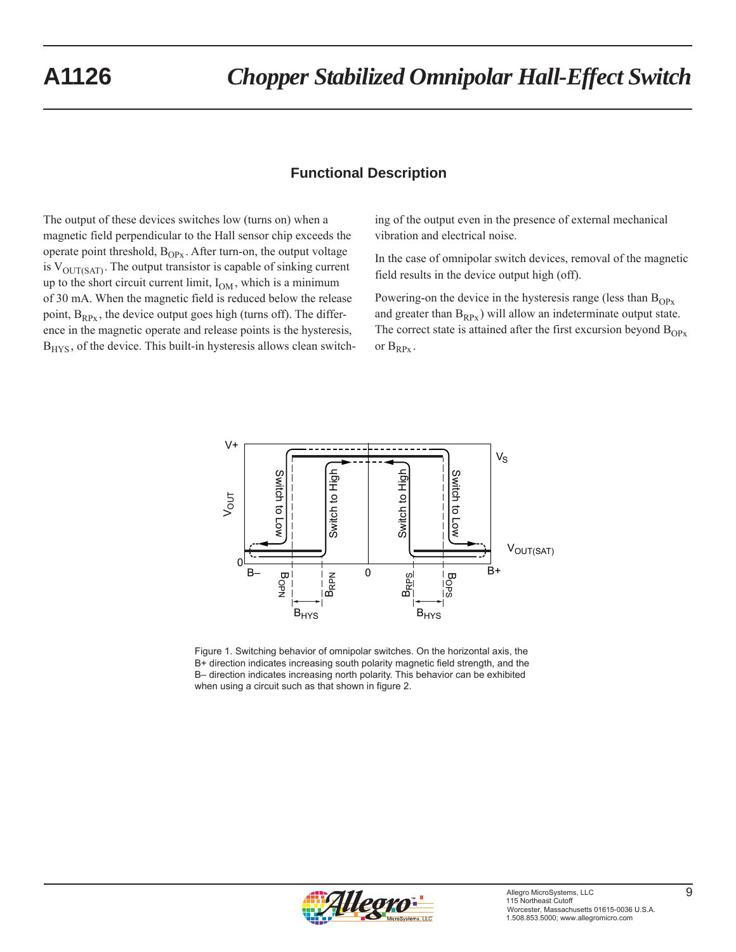## **Functional Description**

The output of these devices switches low (turns on) when a magnetic field perpendicular to the Hall sensor chip exceeds the operate point threshold,  $B_{OPx}$ . After turn-on, the output voltage is  $V_{\text{OUT(SAT)}}$ . The output transistor is capable of sinking current up to the short circuit current limit,  $I_{OM}$ , which is a minimum of 30 mA. When the magnetic field is reduced below the release point,  $B_{RPx}$ , the device output goes high (turns off). The difference in the magnetic operate and release points is the hysteresis,  $B<sub>HYS</sub>$ , of the device. This built-in hysteresis allows clean switching of the output even in the presence of external mechanical vibration and electrical noise.

In the case of omnipolar switch devices, removal of the magnetic field results in the device output high (off).

Powering-on the device in the hysteresis range (less than  $B_{OPx}$ ) and greater than  $B_{RPx}$ ) will allow an indeterminate output state. The correct state is attained after the first excursion beyond  $B_{OPx}$ or  $B_{RPx}$ .



Figure 1. Switching behavior of omnipolar switches. On the horizontal axis, the B+ direction indicates increasing south polarity magnetic field strength, and the B– direction indicates increasing north polarity. This behavior can be exhibited when using a circuit such as that shown in figure 2.

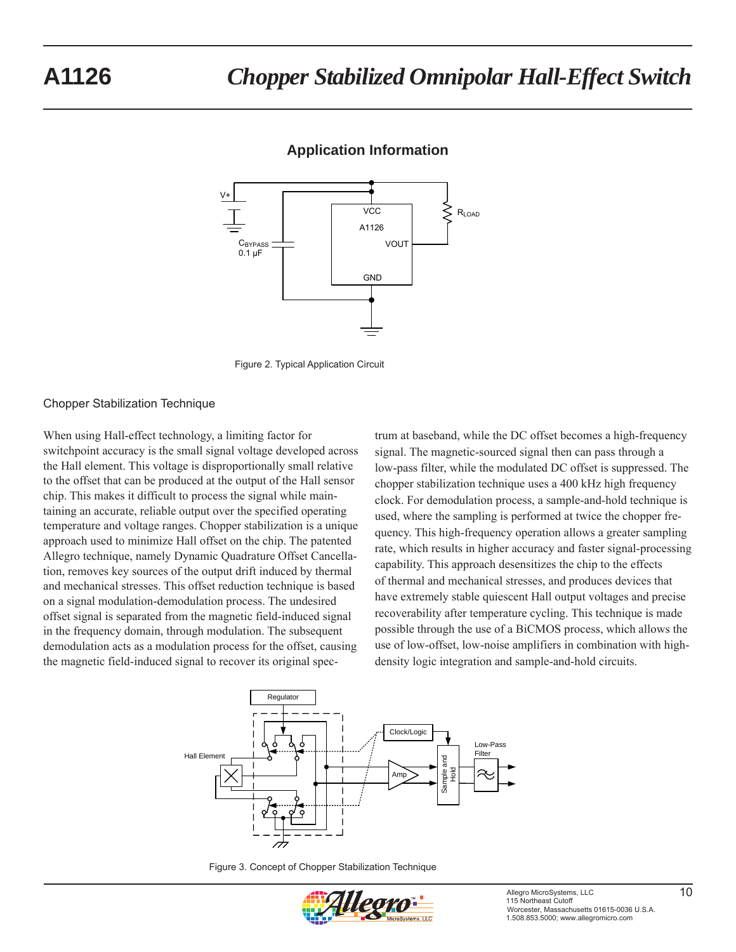# **A1126** *Chopper Stabilized Omnipolar Hall-Effect Switch*



## **Application Information**



#### Chopper Stabilization Technique

When using Hall-effect technology, a limiting factor for switchpoint accuracy is the small signal voltage developed across the Hall element. This voltage is disproportionally small relative to the offset that can be produced at the output of the Hall sensor chip. This makes it difficult to process the signal while maintaining an accurate, reliable output over the specified operating temperature and voltage ranges. Chopper stabilization is a unique approach used to minimize Hall offset on the chip. The patented Allegro technique, namely Dynamic Quadrature Offset Cancellation, removes key sources of the output drift induced by thermal and mechanical stresses. This offset reduction technique is based on a signal modulation-demodulation process. The undesired offset signal is separated from the magnetic field-induced signal in the frequency domain, through modulation. The subsequent demodulation acts as a modulation process for the offset, causing the magnetic field-induced signal to recover its original spectrum at baseband, while the DC offset becomes a high-frequency signal. The magnetic-sourced signal then can pass through a low-pass filter, while the modulated DC offset is suppressed. The chopper stabilization technique uses a 400 kHz high frequency clock. For demodulation process, a sample-and-hold technique is used, where the sampling is performed at twice the chopper frequency. This high-frequency operation allows a greater sampling rate, which results in higher accuracy and faster signal-processing capability. This approach desensitizes the chip to the effects of thermal and mechanical stresses, and produces devices that have extremely stable quiescent Hall output voltages and precise recoverability after temperature cycling. This technique is made possible through the use of a BiCMOS process, which allows the use of low-offset, low-noise amplifiers in combination with highdensity logic integration and sample-and-hold circuits.



Figure 3. Concept of Chopper Stabilization Technique

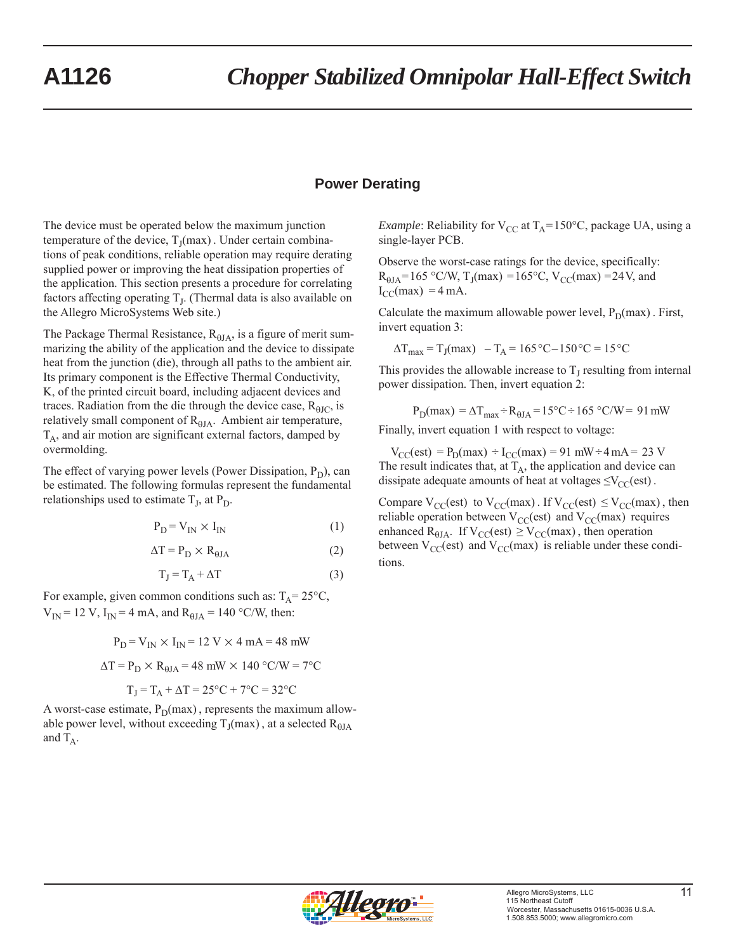## **Power Derating**

The device must be operated below the maximum junction temperature of the device,  $T<sub>J</sub>(max)$ . Under certain combinations of peak conditions, reliable operation may require derating supplied power or improving the heat dissipation properties of the application. This section presents a procedure for correlating factors affecting operating  $T<sub>J</sub>$ . (Thermal data is also available on the Allegro MicroSystems Web site.)

The Package Thermal Resistance,  $R_{0IA}$ , is a figure of merit summarizing the ability of the application and the device to dissipate heat from the junction (die), through all paths to the ambient air. Its primary component is the Effective Thermal Conductivity, K, of the printed circuit board, including adjacent devices and traces. Radiation from the die through the device case,  $R_{\theta JC}$ , is relatively small component of  $R_{0JA}$ . Ambient air temperature,  $T_A$ , and air motion are significant external factors, damped by overmolding.

The effect of varying power levels (Power Dissipation,  $P_D$ ), can be estimated. The following formulas represent the fundamental relationships used to estimate  $T_J$ , at  $P_D$ .

$$
P_D = V_{IN} \times I_{IN}
$$
 (1)

$$
\Delta T = P_D \times R_{\theta J A} \tag{2}
$$

$$
T_J = T_A + \Delta T \tag{3}
$$

For example, given common conditions such as:  $T_A = 25^{\circ}C$ ,  $V_{IN}$  = 12 V, I<sub>IN</sub> = 4 mA, and R<sub>0JA</sub> = 140 °C/W, then:

$$
P_D = V_{IN} \times I_{IN} = 12 \text{ V} \times 4 \text{ mA} = 48 \text{ mW}
$$

$$
\Delta T = P_D \times R_{0JA} = 48 \text{ mW} \times 140 \text{ °C/W} = 7 \text{ °C}
$$

 $T_I = T_A + \Delta T = 25$ °C + 7°C = 32°C

A worst-case estimate,  $P_D(max)$ , represents the maximum allowable power level, without exceeding  $T_J$ (max), at a selected  $R_{\theta JA}$ and  $T_A$ .

*Example*: Reliability for  $V_{CC}$  at  $T_A = 150^{\circ}C$ , package UA, using a single-layer PCB.

Observe the worst-case ratings for the device, specifically:  $R_{\theta JA} = 165 \text{ °C/W}, T_J(max) = 165 \text{ °C}, V_{CC}(max) = 24 \text{ V}, \text{ and}$  $I_{CC}(max) = 4 mA$ .

Calculate the maximum allowable power level,  $P_D(max)$ . First, invert equation 3:

$$
\Delta T_{\text{max}} = T_J(\text{max}) - T_A = 165 \,^{\circ}\text{C} - 150 \,^{\circ}\text{C} = 15 \,^{\circ}\text{C}
$$

This provides the allowable increase to  $T<sub>J</sub>$  resulting from internal power dissipation. Then, invert equation 2:

$$
P_D(max) = \Delta T_{max} \div R_{0JA} = 15\degree C \div 165\degree C/W = 91\text{ mW}
$$

Finally, invert equation 1 with respect to voltage:

 $V_{CC}(est) = P_D(max) \div I_{CC}(max) = 91 \text{ mW} \div 4 \text{ mA} = 23 \text{ V}$ The result indicates that, at  $T_A$ , the application and device can dissipate adequate amounts of heat at voltages  $\leq$ V<sub>CC</sub>(est).

Compare  $V_{CC}(est)$  to  $V_{CC}(max)$ . If  $V_{CC}(est) \leq V_{CC}(max)$ , then reliable operation between  $V_{CC}$ (est) and  $V_{CC}$ (max) requires enhanced R<sub> $\theta$ JA</sub>. If V<sub>CC</sub>(est)  $\geq$  V<sub>CC</sub>(max), then operation between  $V_{CC}$ (est) and  $V_{CC}$ (max) is reliable under these conditions.

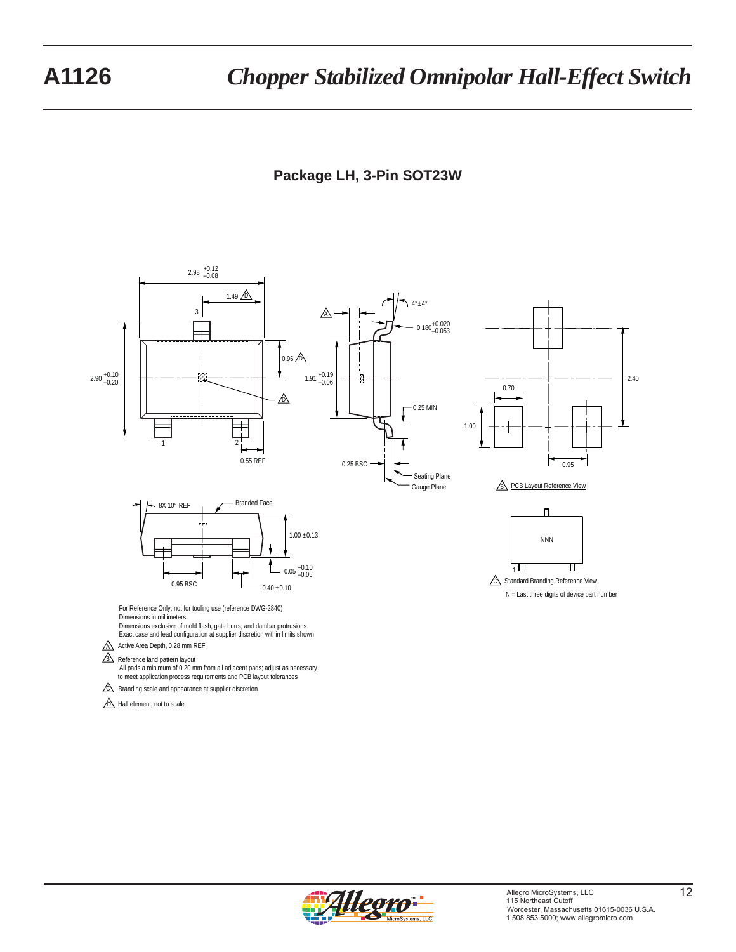# **Package LH, 3-Pin SOT23W**



 $\sqrt{\mathbb{D}}$  Hall element, not to scale

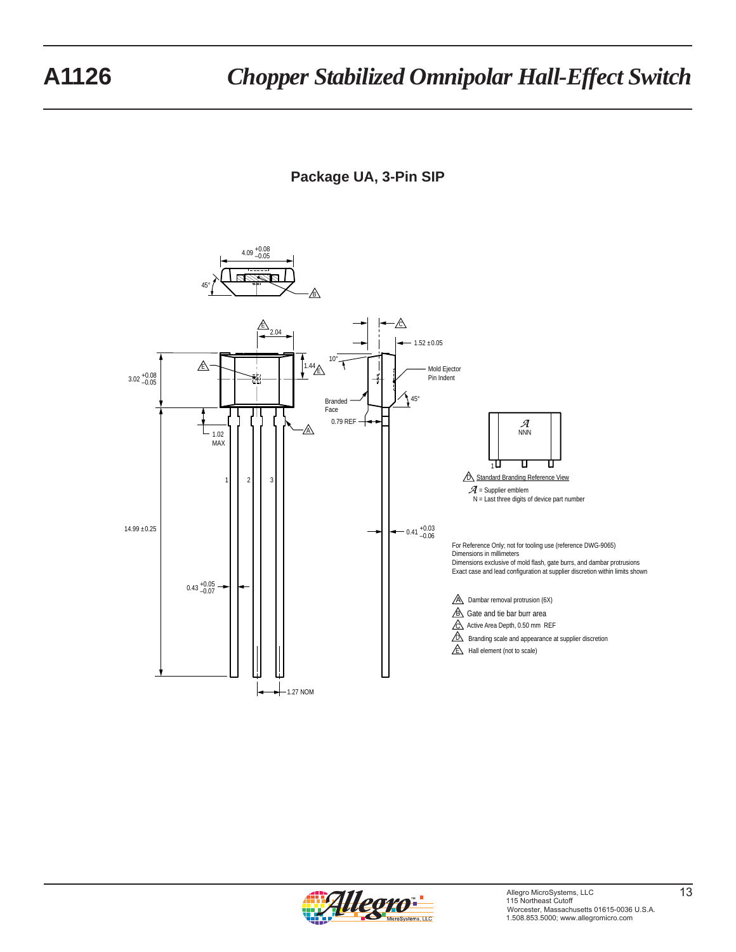